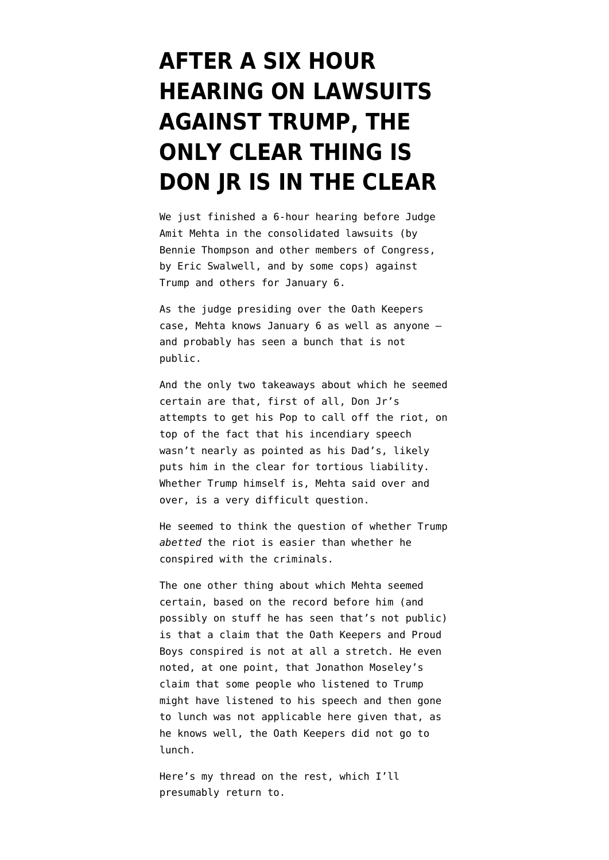## **[AFTER A SIX HOUR](https://www.emptywheel.net/2022/01/10/after-six-hours-on-suits-against-trump-the-only-clear-thing-is-don-jr-is-in-the-clear/) [HEARING ON LAWSUITS](https://www.emptywheel.net/2022/01/10/after-six-hours-on-suits-against-trump-the-only-clear-thing-is-don-jr-is-in-the-clear/) [AGAINST TRUMP, THE](https://www.emptywheel.net/2022/01/10/after-six-hours-on-suits-against-trump-the-only-clear-thing-is-don-jr-is-in-the-clear/) [ONLY CLEAR THING IS](https://www.emptywheel.net/2022/01/10/after-six-hours-on-suits-against-trump-the-only-clear-thing-is-don-jr-is-in-the-clear/) [DON JR IS IN THE CLEAR](https://www.emptywheel.net/2022/01/10/after-six-hours-on-suits-against-trump-the-only-clear-thing-is-don-jr-is-in-the-clear/)**

We just finished a 6-hour hearing before Judge Amit Mehta in the consolidated lawsuits (by Bennie Thompson and other members of Congress, by Eric Swalwell, and by some cops) against Trump and others for January 6.

As the judge presiding over the Oath Keepers case, Mehta knows January 6 as well as anyone and probably has seen a bunch that is not public.

And the only two takeaways about which he seemed certain are that, first of all, Don Jr's attempts to get his Pop to call off the riot, on top of the fact that his incendiary speech wasn't nearly as pointed as his Dad's, likely puts him in the clear for tortious liability. Whether Trump himself is, Mehta said over and over, is a very difficult question.

He seemed to think the question of whether Trump *abetted* the riot is easier than whether he conspired with the criminals.

The one other thing about which Mehta seemed certain, based on the record before him (and possibly on stuff he has seen that's not public) is that a claim that the Oath Keepers and Proud Boys conspired is not at all a stretch. He even noted, at one point, that Jonathon Moseley's claim that some people who listened to Trump might have listened to his speech and then gone to lunch was not applicable here given that, as he knows well, the Oath Keepers did not go to lunch.

Here's [my thread on the rest](https://twitter.com/emptywheel/status/1480603761320112141), which I'll presumably return to.